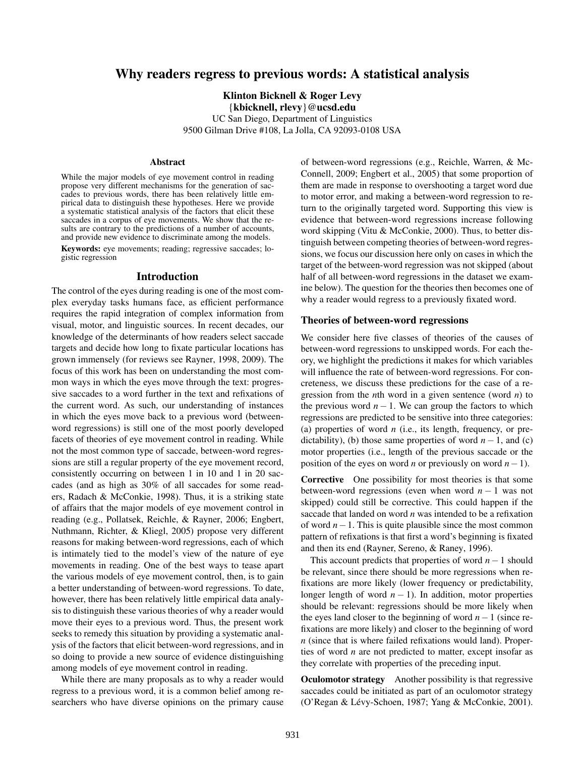# Why readers regress to previous words: A statistical analysis

Klinton Bicknell & Roger Levy {kbicknell, rlevy}@ucsd.edu UC San Diego, Department of Linguistics 9500 Gilman Drive #108, La Jolla, CA 92093-0108 USA

#### **Abstract**

While the major models of eye movement control in reading propose very different mechanisms for the generation of saccades to previous words, there has been relatively little empirical data to distinguish these hypotheses. Here we provide a systematic statistical analysis of the factors that elicit these saccades in a corpus of eye movements. We show that the results are contrary to the predictions of a number of accounts, and provide new evidence to discriminate among the models.

Keywords: eye movements; reading; regressive saccades; logistic regression

#### Introduction

The control of the eyes during reading is one of the most complex everyday tasks humans face, as efficient performance requires the rapid integration of complex information from visual, motor, and linguistic sources. In recent decades, our knowledge of the determinants of how readers select saccade targets and decide how long to fixate particular locations has grown immensely (for reviews see Rayner, 1998, 2009). The focus of this work has been on understanding the most common ways in which the eyes move through the text: progressive saccades to a word further in the text and refixations of the current word. As such, our understanding of instances in which the eyes move back to a previous word (betweenword regressions) is still one of the most poorly developed facets of theories of eye movement control in reading. While not the most common type of saccade, between-word regressions are still a regular property of the eye movement record, consistently occurring on between 1 in 10 and 1 in 20 saccades (and as high as 30% of all saccades for some readers, Radach & McConkie, 1998). Thus, it is a striking state of affairs that the major models of eye movement control in reading (e.g., Pollatsek, Reichle, & Rayner, 2006; Engbert, Nuthmann, Richter, & Kliegl, 2005) propose very different reasons for making between-word regressions, each of which is intimately tied to the model's view of the nature of eye movements in reading. One of the best ways to tease apart the various models of eye movement control, then, is to gain a better understanding of between-word regressions. To date, however, there has been relatively little empirical data analysis to distinguish these various theories of why a reader would move their eyes to a previous word. Thus, the present work seeks to remedy this situation by providing a systematic analysis of the factors that elicit between-word regressions, and in so doing to provide a new source of evidence distinguishing among models of eye movement control in reading.

While there are many proposals as to why a reader would regress to a previous word, it is a common belief among researchers who have diverse opinions on the primary cause of between-word regressions (e.g., Reichle, Warren, & Mc-Connell, 2009; Engbert et al., 2005) that some proportion of them are made in response to overshooting a target word due to motor error, and making a between-word regression to return to the originally targeted word. Supporting this view is evidence that between-word regressions increase following word skipping (Vitu & McConkie, 2000). Thus, to better distinguish between competing theories of between-word regressions, we focus our discussion here only on cases in which the target of the between-word regression was not skipped (about half of all between-word regressions in the dataset we examine below). The question for the theories then becomes one of why a reader would regress to a previously fixated word.

#### Theories of between-word regressions

We consider here five classes of theories of the causes of between-word regressions to unskipped words. For each theory, we highlight the predictions it makes for which variables will influence the rate of between-word regressions. For concreteness, we discuss these predictions for the case of a regression from the *n*th word in a given sentence (word *n*) to the previous word  $n - 1$ . We can group the factors to which regressions are predicted to be sensitive into three categories: (a) properties of word *n* (i.e., its length, frequency, or predictability), (b) those same properties of word  $n-1$ , and (c) motor properties (i.e., length of the previous saccade or the position of the eyes on word *n* or previously on word *n*−1).

Corrective One possibility for most theories is that some between-word regressions (even when word *n* − 1 was not skipped) could still be corrective. This could happen if the saccade that landed on word *n* was intended to be a refixation of word *n*−1. This is quite plausible since the most common pattern of refixations is that first a word's beginning is fixated and then its end (Rayner, Sereno, & Raney, 1996).

This account predicts that properties of word *n*−1 should be relevant, since there should be more regressions when refixations are more likely (lower frequency or predictability, longer length of word  $n - 1$ ). In addition, motor properties should be relevant: regressions should be more likely when the eyes land closer to the beginning of word *n*−1 (since refixations are more likely) and closer to the beginning of word *n* (since that is where failed refixations would land). Properties of word *n* are not predicted to matter, except insofar as they correlate with properties of the preceding input.

Oculomotor strategy Another possibility is that regressive saccades could be initiated as part of an oculomotor strategy (O'Regan & Lévy-Schoen, 1987; Yang & McConkie, 2001).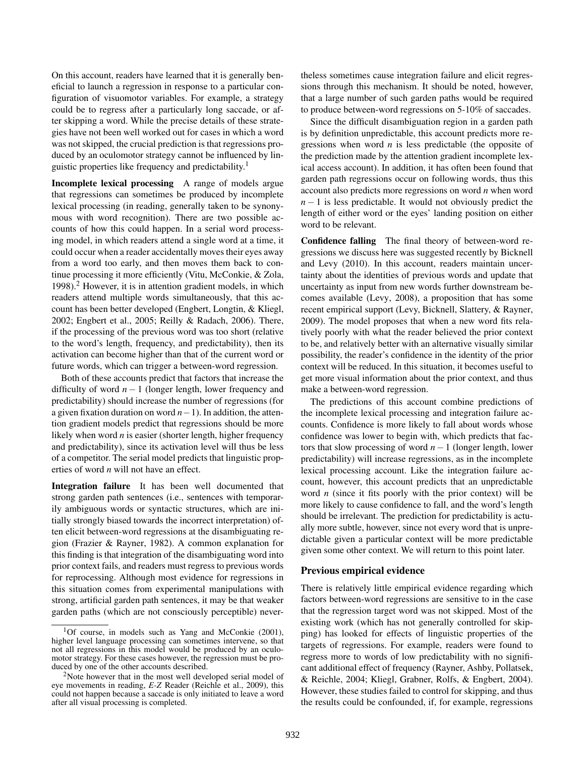On this account, readers have learned that it is generally beneficial to launch a regression in response to a particular configuration of visuomotor variables. For example, a strategy could be to regress after a particularly long saccade, or after skipping a word. While the precise details of these strategies have not been well worked out for cases in which a word was not skipped, the crucial prediction is that regressions produced by an oculomotor strategy cannot be influenced by linguistic properties like frequency and predictability.<sup>1</sup>

Incomplete lexical processing A range of models argue that regressions can sometimes be produced by incomplete lexical processing (in reading, generally taken to be synonymous with word recognition). There are two possible accounts of how this could happen. In a serial word processing model, in which readers attend a single word at a time, it could occur when a reader accidentally moves their eyes away from a word too early, and then moves them back to continue processing it more efficiently (Vitu, McConkie, & Zola, 1998).<sup>2</sup> However, it is in attention gradient models, in which readers attend multiple words simultaneously, that this account has been better developed (Engbert, Longtin, & Kliegl, 2002; Engbert et al., 2005; Reilly & Radach, 2006). There, if the processing of the previous word was too short (relative to the word's length, frequency, and predictability), then its activation can become higher than that of the current word or future words, which can trigger a between-word regression.

Both of these accounts predict that factors that increase the difficulty of word *n* − 1 (longer length, lower frequency and predictability) should increase the number of regressions (for a given fixation duration on word *n*−1). In addition, the attention gradient models predict that regressions should be more likely when word *n* is easier (shorter length, higher frequency and predictability), since its activation level will thus be less of a competitor. The serial model predicts that linguistic properties of word *n* will not have an effect.

Integration failure It has been well documented that strong garden path sentences (i.e., sentences with temporarily ambiguous words or syntactic structures, which are initially strongly biased towards the incorrect interpretation) often elicit between-word regressions at the disambiguating region (Frazier & Rayner, 1982). A common explanation for this finding is that integration of the disambiguating word into prior context fails, and readers must regress to previous words for reprocessing. Although most evidence for regressions in this situation comes from experimental manipulations with strong, artificial garden path sentences, it may be that weaker garden paths (which are not consciously perceptible) nevertheless sometimes cause integration failure and elicit regressions through this mechanism. It should be noted, however, that a large number of such garden paths would be required to produce between-word regressions on 5-10% of saccades.

Since the difficult disambiguation region in a garden path is by definition unpredictable, this account predicts more regressions when word *n* is less predictable (the opposite of the prediction made by the attention gradient incomplete lexical access account). In addition, it has often been found that garden path regressions occur on following words, thus this account also predicts more regressions on word *n* when word *n* − 1 is less predictable. It would not obviously predict the length of either word or the eyes' landing position on either word to be relevant.

Confidence falling The final theory of between-word regressions we discuss here was suggested recently by Bicknell and Levy (2010). In this account, readers maintain uncertainty about the identities of previous words and update that uncertainty as input from new words further downstream becomes available (Levy, 2008), a proposition that has some recent empirical support (Levy, Bicknell, Slattery, & Rayner, 2009). The model proposes that when a new word fits relatively poorly with what the reader believed the prior context to be, and relatively better with an alternative visually similar possibility, the reader's confidence in the identity of the prior context will be reduced. In this situation, it becomes useful to get more visual information about the prior context, and thus make a between-word regression.

The predictions of this account combine predictions of the incomplete lexical processing and integration failure accounts. Confidence is more likely to fall about words whose confidence was lower to begin with, which predicts that factors that slow processing of word *n*−1 (longer length, lower predictability) will increase regressions, as in the incomplete lexical processing account. Like the integration failure account, however, this account predicts that an unpredictable word *n* (since it fits poorly with the prior context) will be more likely to cause confidence to fall, and the word's length should be irrelevant. The prediction for predictability is actually more subtle, however, since not every word that is unpredictable given a particular context will be more predictable given some other context. We will return to this point later.

### Previous empirical evidence

There is relatively little empirical evidence regarding which factors between-word regressions are sensitive to in the case that the regression target word was not skipped. Most of the existing work (which has not generally controlled for skipping) has looked for effects of linguistic properties of the targets of regressions. For example, readers were found to regress more to words of low predictability with no significant additional effect of frequency (Rayner, Ashby, Pollatsek, & Reichle, 2004; Kliegl, Grabner, Rolfs, & Engbert, 2004). However, these studies failed to control for skipping, and thus the results could be confounded, if, for example, regressions

<sup>&</sup>lt;sup>1</sup>Of course, in models such as Yang and McConkie  $(2001)$ , higher level language processing can sometimes intervene, so that not all regressions in this model would be produced by an oculomotor strategy. For these cases however, the regression must be produced by one of the other accounts described.

<sup>&</sup>lt;sup>2</sup>Note however that in the most well developed serial model of eye movements in reading, *E-Z* Reader (Reichle et al., 2009), this could not happen because a saccade is only initiated to leave a word after all visual processing is completed.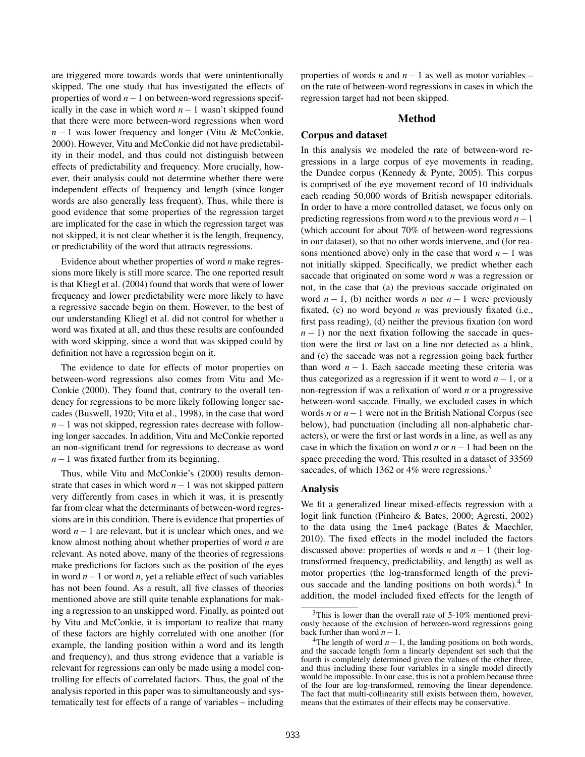are triggered more towards words that were unintentionally skipped. The one study that has investigated the effects of properties of word *n*−1 on between-word regressions specifically in the case in which word  $n - 1$  wasn't skipped found that there were more between-word regressions when word *n* − 1 was lower frequency and longer (Vitu & McConkie, 2000). However, Vitu and McConkie did not have predictability in their model, and thus could not distinguish between effects of predictability and frequency. More crucially, however, their analysis could not determine whether there were independent effects of frequency and length (since longer words are also generally less frequent). Thus, while there is good evidence that some properties of the regression target are implicated for the case in which the regression target was not skipped, it is not clear whether it is the length, frequency, or predictability of the word that attracts regressions.

Evidence about whether properties of word *n* make regressions more likely is still more scarce. The one reported result is that Kliegl et al. (2004) found that words that were of lower frequency and lower predictability were more likely to have a regressive saccade begin on them. However, to the best of our understanding Kliegl et al. did not control for whether a word was fixated at all, and thus these results are confounded with word skipping, since a word that was skipped could by definition not have a regression begin on it.

The evidence to date for effects of motor properties on between-word regressions also comes from Vitu and Mc-Conkie (2000). They found that, contrary to the overall tendency for regressions to be more likely following longer saccades (Buswell, 1920; Vitu et al., 1998), in the case that word *n*−1 was not skipped, regression rates decrease with following longer saccades. In addition, Vitu and McConkie reported an non-significant trend for regressions to decrease as word *n*−1 was fixated further from its beginning.

Thus, while Vitu and McConkie's (2000) results demonstrate that cases in which word *n*−1 was not skipped pattern very differently from cases in which it was, it is presently far from clear what the determinants of between-word regressions are in this condition. There is evidence that properties of word *n*−1 are relevant, but it is unclear which ones, and we know almost nothing about whether properties of word *n* are relevant. As noted above, many of the theories of regressions make predictions for factors such as the position of the eyes in word *n*−1 or word *n*, yet a reliable effect of such variables has not been found. As a result, all five classes of theories mentioned above are still quite tenable explanations for making a regression to an unskipped word. Finally, as pointed out by Vitu and McConkie, it is important to realize that many of these factors are highly correlated with one another (for example, the landing position within a word and its length and frequency), and thus strong evidence that a variable is relevant for regressions can only be made using a model controlling for effects of correlated factors. Thus, the goal of the analysis reported in this paper was to simultaneously and systematically test for effects of a range of variables – including properties of words *n* and *n*−1 as well as motor variables – on the rate of between-word regressions in cases in which the regression target had not been skipped.

#### Method

### Corpus and dataset

In this analysis we modeled the rate of between-word regressions in a large corpus of eye movements in reading, the Dundee corpus (Kennedy & Pynte, 2005). This corpus is comprised of the eye movement record of 10 individuals each reading 50,000 words of British newspaper editorials. In order to have a more controlled dataset, we focus only on predicting regressions from word *n* to the previous word *n*−1 (which account for about 70% of between-word regressions in our dataset), so that no other words intervene, and (for reasons mentioned above) only in the case that word  $n - 1$  was not initially skipped. Specifically, we predict whether each saccade that originated on some word *n* was a regression or not, in the case that (a) the previous saccade originated on word  $n-1$ , (b) neither words *n* nor  $n-1$  were previously fixated, (c) no word beyond *n* was previously fixated (i.e., first pass reading), (d) neither the previous fixation (on word  $n - 1$ ) nor the next fixation following the saccade in question were the first or last on a line nor detected as a blink, and (e) the saccade was not a regression going back further than word  $n - 1$ . Each saccade meeting these criteria was thus categorized as a regression if it went to word *n*−1, or a non-regression if was a refixation of word *n* or a progressive between-word saccade. Finally, we excluded cases in which words *n* or *n*−1 were not in the British National Corpus (see below), had punctuation (including all non-alphabetic characters), or were the first or last words in a line, as well as any case in which the fixation on word *n* or *n*−1 had been on the space preceding the word. This resulted in a dataset of 33569 saccades, of which 1362 or 4% were regressions.<sup>3</sup>

#### Analysis

We fit a generalized linear mixed-effects regression with a logit link function (Pinheiro & Bates, 2000; Agresti, 2002) to the data using the lme4 package (Bates & Maechler, 2010). The fixed effects in the model included the factors discussed above: properties of words *n* and *n* − 1 (their logtransformed frequency, predictability, and length) as well as motor properties (the log-transformed length of the previous saccade and the landing positions on both words).<sup>4</sup> In addition, the model included fixed effects for the length of

<sup>3</sup>This is lower than the overall rate of 5-10% mentioned previously because of the exclusion of between-word regressions going back further than word *n*−1.

<sup>&</sup>lt;sup>4</sup>The length of word  $n-1$ , the landing positions on both words, and the saccade length form a linearly dependent set such that the fourth is completely determined given the values of the other three, and thus including these four variables in a single model directly would be impossible. In our case, this is not a problem because three of the four are log-transformed, removing the linear dependence. The fact that multi-collinearity still exists between them, however, means that the estimates of their effects may be conservative.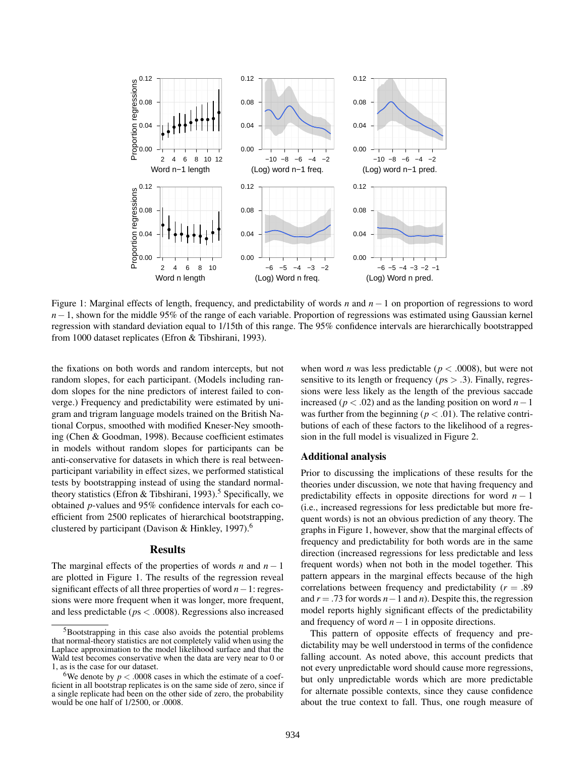

Figure 1: Marginal effects of length, frequency, and predictability of words *n* and *n* − 1 on proportion of regressions to word *n*−1, shown for the middle 95% of the range of each variable. Proportion of regressions was estimated using Gaussian kernel regression with standard deviation equal to 1/15th of this range. The 95% confidence intervals are hierarchically bootstrapped from 1000 dataset replicates (Efron & Tibshirani, 1993).

the fixations on both words and random intercepts, but not random slopes, for each participant. (Models including random slopes for the nine predictors of interest failed to converge.) Frequency and predictability were estimated by unigram and trigram language models trained on the British National Corpus, smoothed with modified Kneser-Ney smoothing (Chen & Goodman, 1998). Because coefficient estimates in models without random slopes for participants can be anti-conservative for datasets in which there is real betweenparticipant variability in effect sizes, we performed statistical tests by bootstrapping instead of using the standard normaltheory statistics (Efron & Tibshirani, 1993).<sup>5</sup> Specifically, we obtained *p*-values and 95% confidence intervals for each coefficient from 2500 replicates of hierarchical bootstrapping, clustered by participant (Davison & Hinkley, 1997).<sup>6</sup>

### Results

The marginal effects of the properties of words *n* and  $n - 1$ are plotted in Figure 1. The results of the regression reveal significant effects of all three properties of word *n*−1: regressions were more frequent when it was longer, more frequent, and less predictable (*p*s < .0008). Regressions also increased when word *n* was less predictable ( $p < .0008$ ), but were not sensitive to its length or frequency (*p*s > .3). Finally, regressions were less likely as the length of the previous saccade increased (*p* < .02) and as the landing position on word *n*−1 was further from the beginning ( $p < .01$ ). The relative contributions of each of these factors to the likelihood of a regression in the full model is visualized in Figure 2.

## Additional analysis

Prior to discussing the implications of these results for the theories under discussion, we note that having frequency and predictability effects in opposite directions for word  $n - 1$ (i.e., increased regressions for less predictable but more frequent words) is not an obvious prediction of any theory. The graphs in Figure 1, however, show that the marginal effects of frequency and predictability for both words are in the same direction (increased regressions for less predictable and less frequent words) when not both in the model together. This pattern appears in the marginal effects because of the high correlations between frequency and predictability (*r* = .89 and *r* = .73 for words *n*−1 and *n*). Despite this, the regression model reports highly significant effects of the predictability and frequency of word *n*−1 in opposite directions.

This pattern of opposite effects of frequency and predictability may be well understood in terms of the confidence falling account. As noted above, this account predicts that not every unpredictable word should cause more regressions, but only unpredictable words which are more predictable for alternate possible contexts, since they cause confidence about the true context to fall. Thus, one rough measure of

<sup>5</sup>Bootstrapping in this case also avoids the potential problems that normal-theory statistics are not completely valid when using the Laplace approximation to the model likelihood surface and that the Wald test becomes conservative when the data are very near to 0 or 1, as is the case for our dataset.

<sup>&</sup>lt;sup>6</sup>We denote by  $p < .0008$  cases in which the estimate of a coefficient in all bootstrap replicates is on the same side of zero, since if a single replicate had been on the other side of zero, the probability would be one half of 1/2500, or .0008.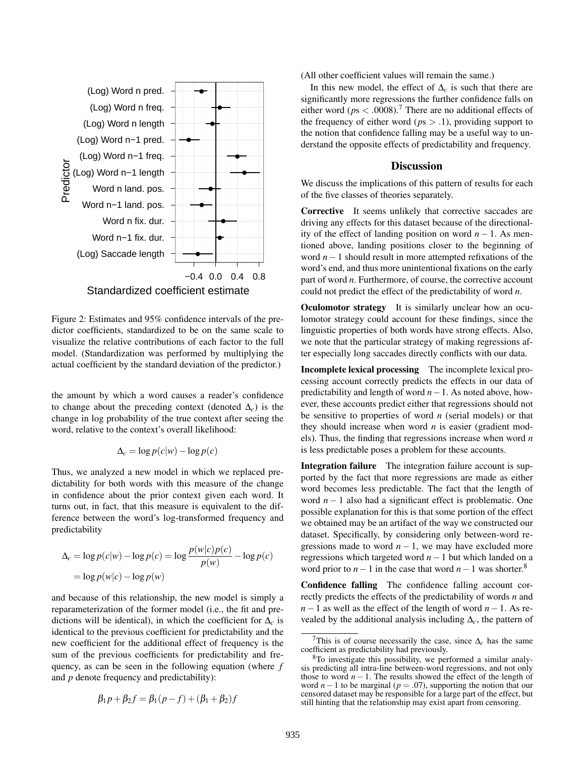

Figure 2: Estimates and 95% confidence intervals of the predictor coefficients, standardized to be on the same scale to visualize the relative contributions of each factor to the full model. (Standardization was performed by multiplying the actual coefficient by the standard deviation of the predictor.)

the amount by which a word causes a reader's confidence to change about the preceding context (denoted ∆*c*) is the change in log probability of the true context after seeing the word, relative to the context's overall likelihood:

$$
\Delta_c = \log p(c|w) - \log p(c)
$$

Thus, we analyzed a new model in which we replaced predictability for both words with this measure of the change in confidence about the prior context given each word. It turns out, in fact, that this measure is equivalent to the difference between the word's log-transformed frequency and predictability

$$
\Delta_c = \log p(c|w) - \log p(c) = \log \frac{p(w|c)p(c)}{p(w)} - \log p(c)
$$

$$
= \log p(w|c) - \log p(w)
$$

and because of this relationship, the new model is simply a reparameterization of the former model (i.e., the fit and predictions will be identical), in which the coefficient for  $\Delta_c$  is identical to the previous coefficient for predictability and the new coefficient for the additional effect of frequency is the sum of the previous coefficients for predictability and frequency, as can be seen in the following equation (where *f* and *p* denote frequency and predictability):

$$
\beta_1 p + \beta_2 f = \beta_1 (p - f) + (\beta_1 + \beta_2) f
$$

(All other coefficient values will remain the same.)

In this new model, the effect of  $\Delta_c$  is such that there are significantly more regressions the further confidence falls on either word ( $ps < .0008$ ).<sup>7</sup> There are no additional effects of the frequency of either word ( $ps > .1$ ), providing support to the notion that confidence falling may be a useful way to understand the opposite effects of predictability and frequency.

#### **Discussion**

We discuss the implications of this pattern of results for each of the five classes of theories separately.

Corrective It seems unlikely that corrective saccades are driving any effects for this dataset because of the directionality of the effect of landing position on word *n* − 1. As mentioned above, landing positions closer to the beginning of word *n*−1 should result in more attempted refixations of the word's end, and thus more unintentional fixations on the early part of word *n*. Furthermore, of course, the corrective account could not predict the effect of the predictability of word *n*.

**Oculomotor strategy** It is similarly unclear how an oculomotor strategy could account for these findings, since the linguistic properties of both words have strong effects. Also, we note that the particular strategy of making regressions after especially long saccades directly conflicts with our data.

Incomplete lexical processing The incomplete lexical processing account correctly predicts the effects in our data of predictability and length of word *n*−1. As noted above, however, these accounts predict either that regressions should not be sensitive to properties of word *n* (serial models) or that they should increase when word *n* is easier (gradient models). Thus, the finding that regressions increase when word *n* is less predictable poses a problem for these accounts.

Integration failure The integration failure account is supported by the fact that more regressions are made as either word becomes less predictable. The fact that the length of word *n* − 1 also had a significant effect is problematic. One possible explanation for this is that some portion of the effect we obtained may be an artifact of the way we constructed our dataset. Specifically, by considering only between-word regressions made to word  $n - 1$ , we may have excluded more regressions which targeted word *n*−1 but which landed on a word prior to  $n-1$  in the case that word  $n-1$  was shorter.<sup>8</sup>

Confidence falling The confidence falling account correctly predicts the effects of the predictability of words *n* and *n*−1 as well as the effect of the length of word *n*−1. As revealed by the additional analysis including ∆*c*, the pattern of

<sup>&</sup>lt;sup>7</sup>This is of course necessarily the case, since  $\Delta_c$  has the same coefficient as predictability had previously.

<sup>8</sup>To investigate this possibility, we performed a similar analysis predicting all intra-line between-word regressions, and not only those to word  $n - 1$ . The results showed the effect of the length of word  $n-1$  to be marginal ( $p = .07$ ), supporting the notion that our censored dataset may be responsible for a large part of the effect, but still hinting that the relationship may exist apart from censoring.